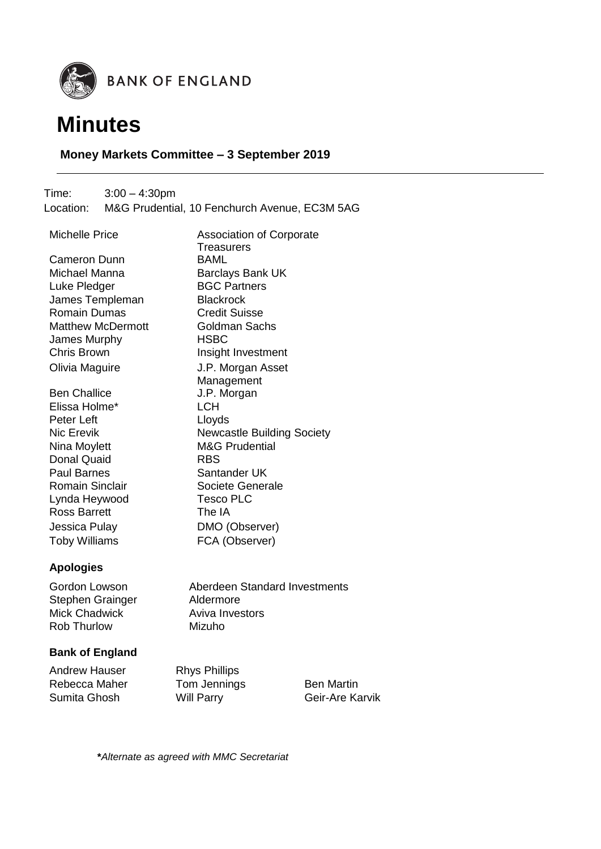



# **Money Markets Committee – 3 September 2019**

Time: 3:00 – 4:30pm Location: M&G Prudential, 10 Fenchurch Avenue, EC3M 5AG

**Treasurers** 

**Management** 

Michelle Price **Association of Corporate** Cameron Dunn BAML Michael Manna Barclays Bank UK Luke Pledger BGC Partners James Templeman Blackrock Romain Dumas Credit Suisse Matthew McDermott **Goldman Sachs** James Murphy **HSBC** Chris Brown **Insight Investment** Olivia Maguire J.P. Morgan Asset

Ben Challice **J.P. Morgan** Elissa Holme\* LCH Peter Left **Let Lloyds** Nic Erevik Newcastle Building Society Nina Moylett M&G Prudential Donal Quaid RBS Paul Barnes Santander UK Romain Sinclair **Societe Generale** Lynda Heywood Tesco PLC Ross Barrett The IA Jessica Pulay DMO (Observer) Toby Williams FCA (Observer)

## **Apologies**

Stephen Grainger **Aldermore**<br>
Mick Chadwick **Alger** Aviva Inves Rob Thurlow Mizuho

Gordon Lowson Aberdeen Standard Investments Aviva Investors

## **Bank of England**

Andrew Hauser Rhys Phillips Rebecca Maher Tom Jennings Ben Martin Sumita Ghosh Will Parry Geir-Are Karvik

**\****Alternate as agreed with MMC Secretariat*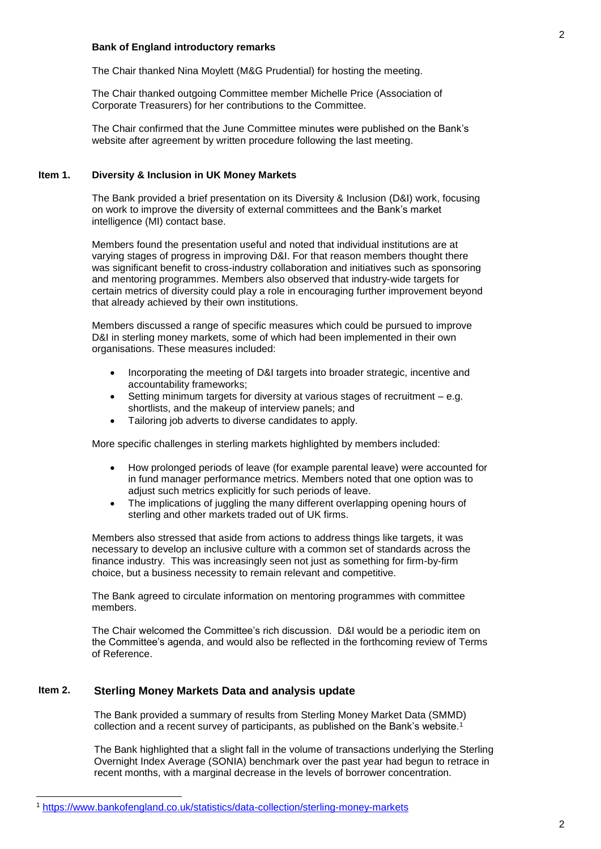#### **Bank of England introductory remarks**

The Chair thanked Nina Moylett (M&G Prudential) for hosting the meeting.

The Chair thanked outgoing Committee member Michelle Price (Association of Corporate Treasurers) for her contributions to the Committee.

The Chair confirmed that the June Committee minutes were published on the Bank's website after agreement by written procedure following the last meeting.

### **Item 1. Diversity & Inclusion in UK Money Markets**

The Bank provided a brief presentation on its Diversity & Inclusion (D&I) work, focusing on work to improve the diversity of external committees and the Bank's market intelligence (MI) contact base.

Members found the presentation useful and noted that individual institutions are at varying stages of progress in improving D&I. For that reason members thought there was significant benefit to cross-industry collaboration and initiatives such as sponsoring and mentoring programmes. Members also observed that industry-wide targets for certain metrics of diversity could play a role in encouraging further improvement beyond that already achieved by their own institutions.

Members discussed a range of specific measures which could be pursued to improve D&I in sterling money markets, some of which had been implemented in their own organisations. These measures included:

- Incorporating the meeting of D&I targets into broader strategic, incentive and accountability frameworks;
- Setting minimum targets for diversity at various stages of recruitment e.g. shortlists, and the makeup of interview panels; and
- Tailoring job adverts to diverse candidates to apply.

More specific challenges in sterling markets highlighted by members included:

- How prolonged periods of leave (for example parental leave) were accounted for in fund manager performance metrics. Members noted that one option was to adjust such metrics explicitly for such periods of leave.
- The implications of juggling the many different overlapping opening hours of sterling and other markets traded out of UK firms.

Members also stressed that aside from actions to address things like targets, it was necessary to develop an inclusive culture with a common set of standards across the finance industry. This was increasingly seen not just as something for firm-by-firm choice, but a business necessity to remain relevant and competitive.

The Bank agreed to circulate information on mentoring programmes with committee members.

The Chair welcomed the Committee's rich discussion. D&I would be a periodic item on the Committee's agenda, and would also be reflected in the forthcoming review of Terms of Reference.

### **Item 2. Sterling Money Markets Data and analysis update**

-

The Bank provided a summary of results from Sterling Money Market Data (SMMD) collection and a recent survey of participants, as published on the Bank's website. 1

The Bank highlighted that a slight fall in the volume of transactions underlying the Sterling Overnight Index Average (SONIA) benchmark over the past year had begun to retrace in recent months, with a marginal decrease in the levels of borrower concentration.

<sup>1</sup> <https://www.bankofengland.co.uk/statistics/data-collection/sterling-money-markets>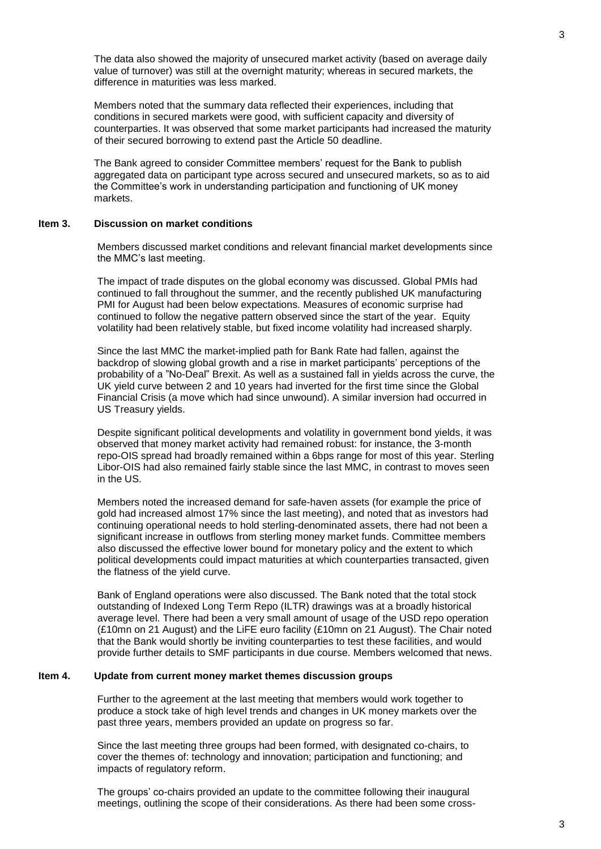The data also showed the majority of unsecured market activity (based on average daily value of turnover) was still at the overnight maturity; whereas in secured markets, the difference in maturities was less marked.

Members noted that the summary data reflected their experiences, including that conditions in secured markets were good, with sufficient capacity and diversity of counterparties. It was observed that some market participants had increased the maturity of their secured borrowing to extend past the Article 50 deadline.

The Bank agreed to consider Committee members' request for the Bank to publish aggregated data on participant type across secured and unsecured markets, so as to aid the Committee's work in understanding participation and functioning of UK money markets.

#### **Item 3. Discussion on market conditions**

Members discussed market conditions and relevant financial market developments since the MMC's last meeting.

The impact of trade disputes on the global economy was discussed. Global PMIs had continued to fall throughout the summer, and the recently published UK manufacturing PMI for August had been below expectations. Measures of economic surprise had continued to follow the negative pattern observed since the start of the year. Equity volatility had been relatively stable, but fixed income volatility had increased sharply.

Since the last MMC the market-implied path for Bank Rate had fallen, against the backdrop of slowing global growth and a rise in market participants' perceptions of the probability of a "No-Deal" Brexit. As well as a sustained fall in yields across the curve, the UK yield curve between 2 and 10 years had inverted for the first time since the Global Financial Crisis (a move which had since unwound). A similar inversion had occurred in US Treasury yields.

Despite significant political developments and volatility in government bond yields, it was observed that money market activity had remained robust: for instance, the 3-month repo-OIS spread had broadly remained within a 6bps range for most of this year. Sterling Libor-OIS had also remained fairly stable since the last MMC, in contrast to moves seen in the US.

Members noted the increased demand for safe-haven assets (for example the price of gold had increased almost 17% since the last meeting), and noted that as investors had continuing operational needs to hold sterling-denominated assets, there had not been a significant increase in outflows from sterling money market funds. Committee members also discussed the effective lower bound for monetary policy and the extent to which political developments could impact maturities at which counterparties transacted, given the flatness of the yield curve.

Bank of England operations were also discussed. The Bank noted that the total stock outstanding of Indexed Long Term Repo (ILTR) drawings was at a broadly historical average level. There had been a very small amount of usage of the USD repo operation (£10mn on 21 August) and the LiFE euro facility (£10mn on 21 August). The Chair noted that the Bank would shortly be inviting counterparties to test these facilities, and would provide further details to SMF participants in due course. Members welcomed that news.

#### **Item 4. Update from current money market themes discussion groups**

Further to the agreement at the last meeting that members would work together to produce a stock take of high level trends and changes in UK money markets over the past three years, members provided an update on progress so far.

Since the last meeting three groups had been formed, with designated co-chairs, to cover the themes of: technology and innovation; participation and functioning; and impacts of regulatory reform.

The groups' co-chairs provided an update to the committee following their inaugural meetings, outlining the scope of their considerations. As there had been some cross-